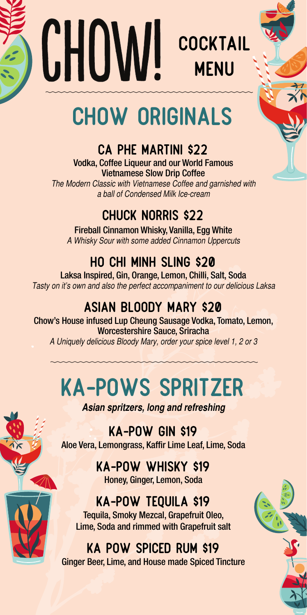



# CHOW ORIGINALS

### Ca Phe Martini \$22

Vodka, Coffee Liqueur and our World Famous Vietnamese Slow Drip Coffee *The Modern Classic with Vietnamese Coffee and garnished with a ball of Condensed Milk Ice-cream*

### Chuck Norris \$22

Fireball Cinnamon Whisky, Vanilla, Egg White *A Whisky Sour with some added Cinnamon Uppercuts*

### Ho Chi Minh Sling \$20

Laksa Inspired, Gin, Orange, Lemon, Chilli, Salt, Soda *Tasty on it's own and also the perfect accompaniment to our delicious Laksa*

### Asian Bloody Mary \$20

Chow's House infused Lup Cheung Sausage Vodka, Tomato, Lemon, Worcestershire Sauce, Sriracha *A Uniquely delicious Bloody Mary, order your spice level 1, 2 or 3*

# KA-POWS SPRITZER

*Asian spritzers, long and refreshing*

Ka-Pow Gin \$19 Aloe Vera, Lemongrass, Kaffir Lime Leaf, Lime, Soda

> Ka-Pow Whisky \$19 Honey, Ginger, Lemon, Soda

### Ka-Pow Tequila \$19

Tequila, Smoky Mezcal, Grapefruit Oleo, Lime, Soda and rimmed with Grapefruit salt

#### Ka Pow Spiced Rum \$19

Ginger Beer, Lime, and House made Spiced Tincture